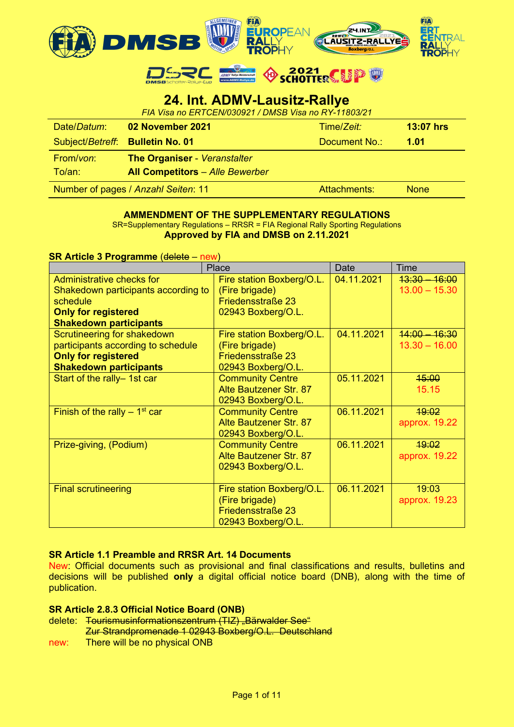

DSRC & SCHOTTERS

# **24. Int. ADMV-Lausitz-Rallye**

| FIA Visa no ERTCEN/030921 / DMSB Visa no RY-11803/21 |                                        |                  |             |  |  |  |
|------------------------------------------------------|----------------------------------------|------------------|-------------|--|--|--|
| Date/Datum:                                          | Time/Zeit:                             | <b>13:07 hrs</b> |             |  |  |  |
|                                                      | Subject/Betreff: Bulletin No. 01       | Document No.:    | 1.01        |  |  |  |
| From/von:                                            | <b>The Organiser - Veranstalter</b>    |                  |             |  |  |  |
| To/an:                                               | <b>All Competitors</b> - Alle Bewerber |                  |             |  |  |  |
|                                                      | Number of pages / Anzahl Seiten: 11    | Attachments:     | <b>None</b> |  |  |  |

#### **AMMENDMENT OF THE SUPPLEMENTARY REGULATIONS** SR=Supplementary Regulations – RRSR = FIA Regional Rally Sporting Regulations **Approved by FIA and DMSB on 2.11.2021**

**SR Article 3 Programme** (delete – new)

|                                            | Place                         | Date       | <b>Time</b>     |
|--------------------------------------------|-------------------------------|------------|-----------------|
| Administrative checks for                  | Fire station Boxberg/O.L.     | 04.11.2021 | $13:30 - 16:00$ |
| Shakedown participants according to        | (Fire brigade)                |            | $13.00 - 15.30$ |
| schedule                                   | Friedensstraße 23             |            |                 |
| <b>Only for registered</b>                 | 02943 Boxberg/O.L.            |            |                 |
| <b>Shakedown participants</b>              |                               |            |                 |
| <b>Scrutineering for shakedown</b>         | Fire station Boxberg/O.L.     | 04.11.2021 | $14:00 - 16:30$ |
| participants according to schedule         | (Fire brigade)                |            | $13.30 - 16.00$ |
| <b>Only for registered</b>                 | Friedensstraße 23             |            |                 |
| <b>Shakedown participants</b>              | 02943 Boxberg/O.L.            |            |                 |
| Start of the rally- 1st car                | <b>Community Centre</b>       | 05.11.2021 | 45:00           |
|                                            | Alte Bautzener Str. 87        |            | 15.15           |
|                                            | 02943 Boxberg/O.L.            |            |                 |
| Finish of the rally $-1$ <sup>st</sup> car | <b>Community Centre</b>       | 06.11.2021 | 19:02           |
|                                            | Alte Bautzener Str. 87        |            | approx. 19.22   |
|                                            | 02943 Boxberg/O.L.            |            |                 |
| Prize-giving, (Podium)                     | <b>Community Centre</b>       | 06.11.2021 | 19:02           |
|                                            | <b>Alte Bautzener Str. 87</b> |            | approx. 19.22   |
|                                            | 02943 Boxberg/O.L.            |            |                 |
|                                            |                               |            |                 |
| <b>Final scrutineering</b>                 | Fire station Boxberg/O.L.     | 06.11.2021 | 19:03           |
|                                            | (Fire brigade)                |            | approx. 19.23   |
|                                            | Friedensstraße 23             |            |                 |
|                                            | 02943 Boxberg/O.L.            |            |                 |

## **SR Article 1.1 Preamble and RRSR Art. 14 Documents**

New: Official documents such as provisional and final classifications and results, bulletins and decisions will be published **only** a digital official notice board (DNB), along with the time of publication.

## **SR Article 2.8.3 Official Notice Board (ONB)**

- delete: Tourismusinformationszentrum (TIZ) "Bärwalder See" Zur Strandpromenade 1 02943 Boxberg/O.L. Deutschland
- new: There will be no physical ONB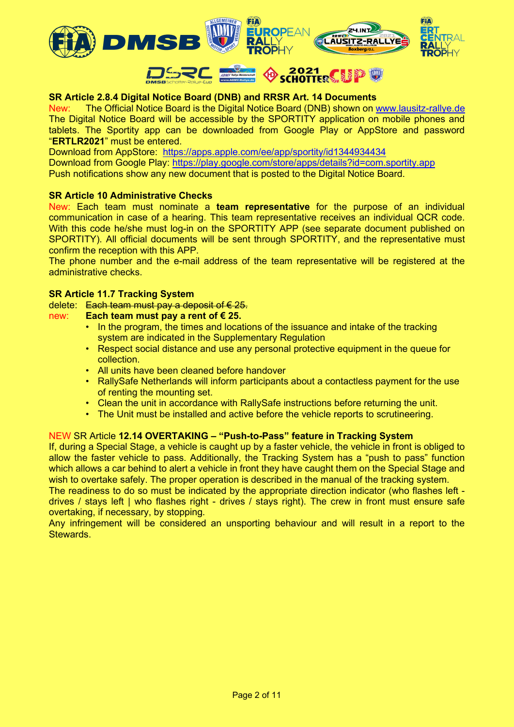

# **SR Article 2.8.4 Digital Notice Board (DNB) and RRSR Art. 14 Documents**

New: The Official Notice Board is the Digital Notice Board (DNB) shown on [www.lausitz-rallye.de](http://www.lausitz-rallye.de/) The Digital Notice Board will be accessible by the SPORTITY application on mobile phones and tablets. The Sportity app can be downloaded from Google Play or AppStore and password "**ERTLR2021**" must be entered.

Download from AppStore: <https://apps.apple.com/ee/app/sportity/id1344934434> Download from Google Play:<https://play.google.com/store/apps/details?id=com.sportity.app> Push notifications show any new document that is posted to the Digital Notice Board.

## **SR Article 10 Administrative Checks**

New: Each team must nominate a **team representative** for the purpose of an individual communication in case of a hearing. This team representative receives an individual QCR code. With this code he/she must log-in on the SPORTITY APP (see separate document published on SPORTITY). All official documents will be sent through SPORTITY, and the representative must confirm the reception with this APP.

The phone number and the e-mail address of the team representative will be registered at the administrative checks.

#### **SR Article 11.7 Tracking System**

delete: Each team must pay a deposit of  $\epsilon$  25.

#### new: **Each team must pay a rent of € 25.**

- In the program, the times and locations of the issuance and intake of the tracking system are indicated in the Supplementary Regulation
- Respect social distance and use any personal protective equipment in the queue for collection.
- All units have been cleaned before handover
- RallySafe Netherlands will inform participants about a contactless payment for the use of renting the mounting set.
- Clean the unit in accordance with RallySafe instructions before returning the unit.
- The Unit must be installed and active before the vehicle reports to scrutineering.

## NEW SR Article **12.14 OVERTAKING – "Push-to-Pass" feature in Tracking System**

If, during a Special Stage, a vehicle is caught up by a faster vehicle, the vehicle in front is obliged to allow the faster vehicle to pass. Additionally, the Tracking System has a "push to pass" function which allows a car behind to alert a vehicle in front they have caught them on the Special Stage and wish to overtake safely. The proper operation is described in the manual of the tracking system.

The readiness to do so must be indicated by the appropriate direction indicator (who flashes left drives / stays left | who flashes right - drives / stays right). The crew in front must ensure safe overtaking, if necessary, by stopping.

Any infringement will be considered an unsporting behaviour and will result in a report to the Stewards.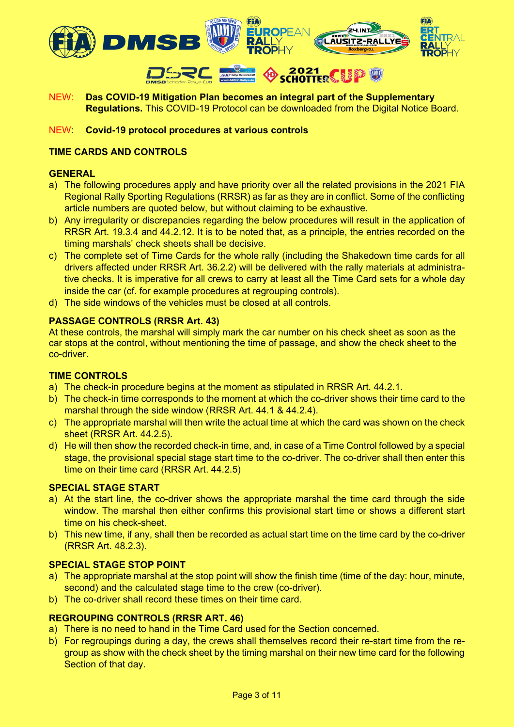

NEW: **Das COVID-19 Mitigation Plan becomes an integral part of the Supplementary Regulations.** This COVID-19 Protocol can be downloaded from the Digital Notice Board.

NEW: **Covid-19 protocol procedures at various controls**

## **TIME CARDS AND CONTROLS**

#### **GENERAL**

- a) The following procedures apply and have priority over all the related provisions in the 2021 FIA Regional Rally Sporting Regulations (RRSR) as far as they are in conflict. Some of the conflicting article numbers are quoted below, but without claiming to be exhaustive.
- b) Any irregularity or discrepancies regarding the below procedures will result in the application of RRSR Art. 19.3.4 and 44.2.12. It is to be noted that, as a principle, the entries recorded on the timing marshals' check sheets shall be decisive.
- c) The complete set of Time Cards for the whole rally (including the Shakedown time cards for all drivers affected under RRSR Art. 36.2.2) will be delivered with the rally materials at administrative checks. It is imperative for all crews to carry at least all the Time Card sets for a whole day inside the car (cf. for example procedures at regrouping controls).
- d) The side windows of the vehicles must be closed at all controls.

## **PASSAGE CONTROLS (RRSR Art. 43)**

At these controls, the marshal will simply mark the car number on his check sheet as soon as the car stops at the control, without mentioning the time of passage, and show the check sheet to the co-driver.

#### **TIME CONTROLS**

- a) The check-in procedure begins at the moment as stipulated in RRSR Art. 44.2.1.
- b) The check-in time corresponds to the moment at which the co-driver shows their time card to the marshal through the side window (RRSR Art. 44.1 & 44.2.4).
- c) The appropriate marshal will then write the actual time at which the card was shown on the check sheet (RRSR Art. 44.2.5).
- d) He will then show the recorded check-in time, and, in case of a Time Control followed by a special stage, the provisional special stage start time to the co-driver. The co-driver shall then enter this time on their time card (RRSR Art. 44.2.5)

## **SPECIAL STAGE START**

- a) At the start line, the co-driver shows the appropriate marshal the time card through the side window. The marshal then either confirms this provisional start time or shows a different start time on his check-sheet.
- b) This new time, if any, shall then be recorded as actual start time on the time card by the co-driver (RRSR Art. 48.2.3).

## **SPECIAL STAGE STOP POINT**

- a) The appropriate marshal at the stop point will show the finish time (time of the day: hour, minute, second) and the calculated stage time to the crew (co-driver).
- b) The co-driver shall record these times on their time card.

## **REGROUPING CONTROLS (RRSR ART. 46)**

- a) There is no need to hand in the Time Card used for the Section concerned.
- b) For regroupings during a day, the crews shall themselves record their re-start time from the regroup as show with the check sheet by the timing marshal on their new time card for the following Section of that day.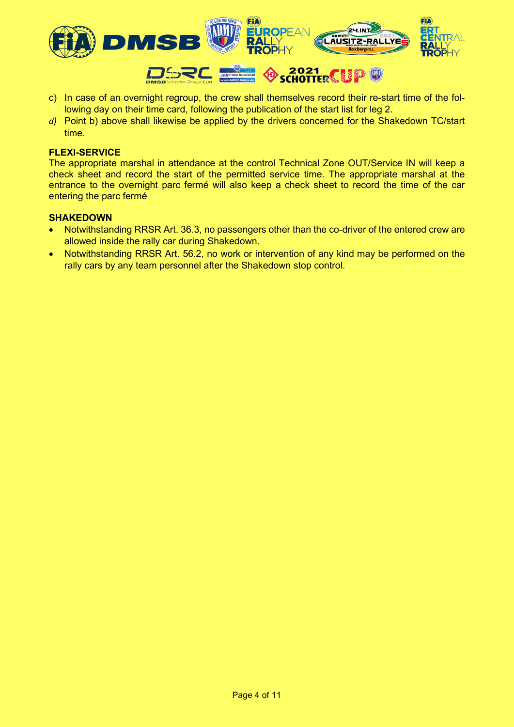

- c) In case of an overnight regroup, the crew shall themselves record their re-start time of the following day on their time card, following the publication of the start list for leg 2.
- *d)* Point b) above shall likewise be applied by the drivers concerned for the Shakedown TC/start time*.*

## **FLEXI-SERVICE**

The appropriate marshal in attendance at the control Technical Zone OUT/Service IN will keep a check sheet and record the start of the permitted service time. The appropriate marshal at the entrance to the overnight parc fermé will also keep a check sheet to record the time of the car entering the parc fermé

#### **SHAKEDOWN**

- Notwithstanding RRSR Art. 36.3, no passengers other than the co-driver of the entered crew are allowed inside the rally car during Shakedown.
- Notwithstanding RRSR Art. 56.2, no work or intervention of any kind may be performed on the rally cars by any team personnel after the Shakedown stop control.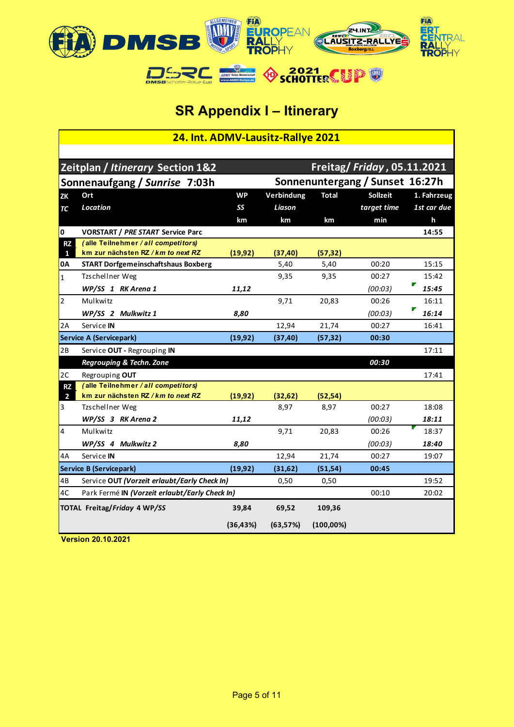

# **SR Appendix I – Itinerary**

| 24. Int. ADMV-Lausitz-Rallye 2021                  |                                                                  |                                 |            |              |                                    |             |
|----------------------------------------------------|------------------------------------------------------------------|---------------------------------|------------|--------------|------------------------------------|-------------|
|                                                    |                                                                  |                                 |            |              |                                    |             |
|                                                    | Zeitplan / Itinerary Section 1&2                                 |                                 |            |              | <b>Freitag/ Friday, 05.11.2021</b> |             |
|                                                    | Sonnenaufgang / Sunrise 7:03h                                    | Sonnenuntergang / Sunset 16:27h |            |              |                                    |             |
| <b>ZK</b>                                          | Ort                                                              | <b>WP</b>                       | Verbindung | <b>Total</b> | <b>Sollzeit</b>                    | 1. Fahrzeug |
| TC                                                 | Location                                                         | SS                              | Liason     |              | target time                        | 1st car due |
|                                                    |                                                                  | km                              | km         | km           | min                                | h           |
| 0                                                  | <b>VORSTART / PRE START Service Parc</b>                         |                                 |            |              |                                    | 14:55       |
| <b>RZ</b>                                          | (alle Teilnehmer / all competitors)                              |                                 |            |              |                                    |             |
| $\mathbf{1}$                                       | km zur nächsten RZ / km to next RZ                               | (19, 92)                        | (37, 40)   | (57, 32)     |                                    |             |
| 0A                                                 | <b>START Dorfgemeinschaftshaus Boxberg</b>                       |                                 | 5,40       | 5,40         | 00:20                              | 15:15       |
| $\mathbf{1}$                                       | Tzschellner Weg                                                  |                                 | 9,35       | 9,35         | 00:27                              | 15:42       |
|                                                    | WP/SS 1 RK Arena 1                                               | 11,12                           |            |              | (00:03)                            | 15:45       |
| $\overline{2}$                                     | Mulkwitz                                                         |                                 | 9,71       | 20,83        | 00:26                              | 16:11       |
|                                                    | WP/SS 2 Mulkwitz 1                                               | 8,80                            |            |              | (00:03)                            | ▛<br>16:14  |
| 2A                                                 | Service IN                                                       |                                 | 12,94      | 21,74        | 00:27                              | 16:41       |
|                                                    | <b>Service A (Servicepark)</b>                                   | (19, 92)                        | (37, 40)   | (57, 32)     | 00:30                              |             |
| 2B                                                 | Service OUT - Regrouping IN                                      |                                 |            |              |                                    | 17:11       |
|                                                    | Regrouping & Techn. Zone                                         |                                 |            |              | 00:30                              |             |
| 2C                                                 | Regrouping OUT                                                   |                                 |            |              |                                    | 17:41       |
| <b>RZ</b>                                          | (alle Teilnehmer / all competitors)                              |                                 |            |              |                                    |             |
| $\overline{2}$                                     | km zur nächsten RZ / km to next RZ                               | (19, 92)                        | (32,62)    | (52, 54)     |                                    |             |
| 3                                                  | Tzschellner Weg                                                  |                                 | 8.97       | 8,97         | 00:27                              | 18:08       |
|                                                    | WP/SS 3 RK Arena 2                                               | 11,12                           |            |              | (00:03)                            | 18:11       |
| 4                                                  | Mulkwitz                                                         |                                 | 9,71       | 20,83        | 00:26                              | 18:37       |
|                                                    | WP/SS 4 Mulkwitz 2                                               | 8,80                            |            |              | (00:03)                            | 18:40       |
| 4A                                                 | Service IN                                                       |                                 | 12,94      | 21,74        | 00:27                              | 19:07       |
|                                                    | <b>Service B (Servicepark)</b>                                   | (19, 92)                        | (31, 62)   | (51, 54)     | 00:45                              |             |
| 4B<br>Service OUT (Vorzeit erlaubt/Early Check In) |                                                                  |                                 | 0,50       | 0,50         |                                    | 19:52       |
| 4C                                                 | 00:10<br>Park Fermé IN (Vorzeit erlaubt/Early Check In)<br>20:02 |                                 |            |              |                                    |             |
|                                                    | TOTAL Freitag/Friday 4 WP/SS                                     | 39,84                           | 69,52      | 109,36       |                                    |             |
|                                                    |                                                                  | (36, 43%)                       | (63, 57%)  | $(100,00\%)$ |                                    |             |
|                                                    |                                                                  |                                 |            |              |                                    |             |

**Version 20.10.2021**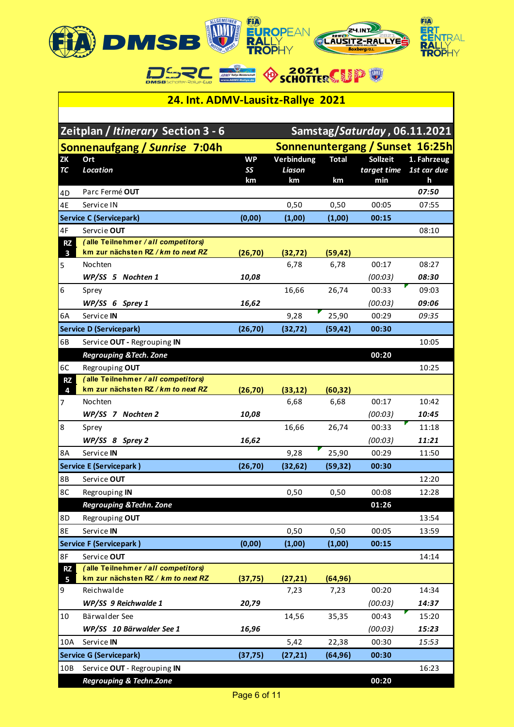

## **24. Int. ADMV-Lausitz-Rallye 2021**

| Samstag/Saturday, 06.11.2021<br><b>Zeitplan / Itinerary Section 3 - 6</b> |                                                                           |                 |                      |              |                                 |                            |
|---------------------------------------------------------------------------|---------------------------------------------------------------------------|-----------------|----------------------|--------------|---------------------------------|----------------------------|
|                                                                           | Sonnenaufgang / Sunrise 7:04h                                             |                 |                      |              | Sonnenuntergang / Sunset 16:25h |                            |
| ZK<br>TC                                                                  | Ort<br>Location                                                           | <b>WP</b><br>SS | Verbindung<br>Liason | <b>Total</b> | <b>Sollzeit</b><br>target time  | 1. Fahrzeug<br>1st car due |
|                                                                           |                                                                           | km              | km                   | km           | min                             | h                          |
| 4D                                                                        | Parc Fermé OUT                                                            |                 |                      |              |                                 | 07:50                      |
| 4E                                                                        | Service IN                                                                |                 | 0,50                 | 0,50         | 00:05                           | 07:55                      |
|                                                                           | <b>Service C (Servicepark)</b>                                            | (0,00)          | (1,00)               | (1,00)       | 00:15                           |                            |
| 4F                                                                        | Servcie OUT                                                               |                 |                      |              |                                 | 08:10                      |
| <b>RZ</b>                                                                 | (alle Teilnehmer / all competitors)                                       |                 |                      |              |                                 |                            |
| $\overline{\mathbf{3}}$                                                   | km zur nächsten RZ / km to next RZ                                        | (26, 70)        | (32, 72)             | (59, 42)     |                                 |                            |
| 5                                                                         | Nochten                                                                   |                 | 6,78                 | 6,78         | 00:17                           | 08:27                      |
|                                                                           | WP/SS 5 Nochten 1                                                         | 10,08           |                      |              | (00:03)                         | 08:30                      |
| 6                                                                         | Sprey                                                                     |                 | 16,66                | 26,74        | 00:33                           | 09:03                      |
|                                                                           | $WP/SS$ 6 Sprey 1                                                         | 16,62           |                      |              | (00:03)                         | 09:06                      |
| 6A                                                                        | Service IN                                                                |                 | 9,28                 | 25,90        | 00:29                           | 09:35                      |
|                                                                           | <b>Service D (Servicepark)</b>                                            | (26, 70)        | (32, 72)             | (59, 42)     | 00:30                           |                            |
| 6В                                                                        | Service OUT - Regrouping IN                                               |                 |                      |              |                                 | 10:05                      |
|                                                                           | <b>Regrouping &amp; Tech. Zone</b>                                        |                 |                      |              | 00:20                           |                            |
| 6C<br><b>RZ</b>                                                           | Regrouping OUT<br>(alle Teilnehmer / all competitors)                     |                 |                      |              |                                 | 10:25                      |
| 4                                                                         | km zur nächsten RZ / km to next RZ                                        | (26, 70)        | (33, 12)             | (60, 32)     |                                 |                            |
| 7                                                                         | Nochten                                                                   |                 | 6,68                 | 6,68         | 00:17                           | 10:42                      |
|                                                                           | WP/SS 7 Nochten 2                                                         | 10,08           |                      |              | (00:03)                         | 10:45                      |
| 8                                                                         | Sprey                                                                     |                 | 16,66                | 26,74        | 00:33                           | 11:18                      |
|                                                                           | WP/SS 8 Sprey 2                                                           | 16,62           |                      |              | (00:03)                         | 11:21                      |
| 8A                                                                        | Service IN                                                                |                 | 9,28                 | 25,90        | 00:29                           | 11:50                      |
|                                                                           | <b>Service E (Servicepark)</b>                                            | (26, 70)        | (32,62)              | (59, 32)     | 00:30                           |                            |
| 8B                                                                        | Service OUT                                                               |                 |                      |              |                                 | 12:20                      |
| 8C                                                                        | Regrouping IN                                                             |                 | 0,50                 | 0,50         | 00:08                           | 12:28                      |
|                                                                           | Regrouping & Techn. Zone                                                  |                 |                      |              | 01:26                           |                            |
| 8D                                                                        | Regrouping OUT                                                            |                 |                      |              |                                 | 13:54                      |
| 8E                                                                        | Service IN                                                                |                 | 0,50                 | 0,50         | 00:05                           | 13:59                      |
|                                                                           | <b>Service F (Servicepark)</b>                                            | (0,00)          | (1,00)               | (1,00)       | 00:15                           |                            |
| 8F                                                                        | Service OUT                                                               |                 |                      |              |                                 | 14:14                      |
| <b>RZ</b>                                                                 | (alle Teilnehmer / all competitors)<br>km zur nächsten RZ / km to next RZ |                 | (27, 21)             | (64, 96)     |                                 |                            |
| 5<br>9                                                                    | Reichwalde                                                                | (37, 75)        | 7,23                 | 7,23         | 00:20                           | 14:34                      |
|                                                                           | WP/SS 9 Reichwalde 1                                                      | 20,79           |                      |              | (00:03)                         | 14:37                      |
| 10                                                                        | Bärwalder See                                                             |                 | 14,56                | 35,35        | 00:43                           | 15:20                      |
|                                                                           | WP/SS 10 Bärwalder See 1                                                  | 16,96           |                      |              | (00:03)                         | 15:23                      |
| 10A                                                                       | Service IN                                                                |                 | 5,42                 | 22,38        | 00:30                           | 15:53                      |
|                                                                           | <b>Service G (Servicepark)</b>                                            | (37, 75)        | (27, 21)             | (64, 96)     | 00:30                           |                            |
| 10B                                                                       | Service OUT - Regrouping IN                                               |                 |                      |              |                                 | 16:23                      |
|                                                                           |                                                                           |                 |                      |              |                                 |                            |
|                                                                           | <b>Regrouping &amp; Techn.Zone</b>                                        |                 |                      |              | 00:20                           |                            |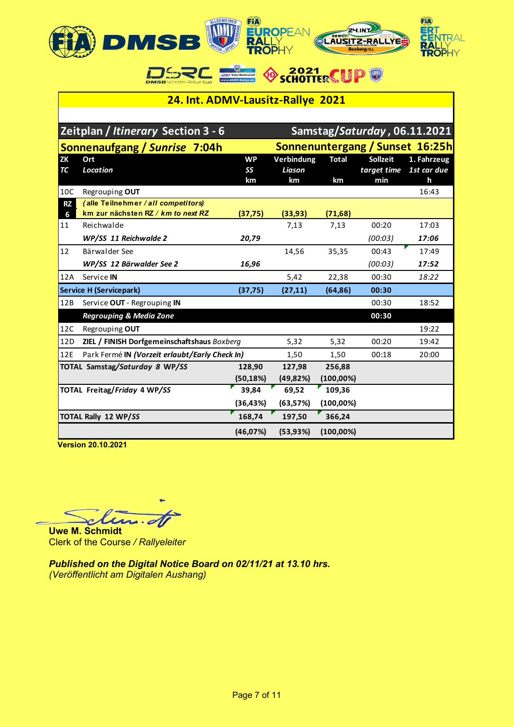

## **24. Int. ADMV-Lausitz-Rallye 2021**

 $\frac{1}{\sinh \theta}$ 

ADMV

**OSCHOTTERCUP** 

DAS RE

|                 | Zeitplan / Itinerary Section 3 - 6                                        |                       |                            |                    |                                       | Samstag/Saturday, 06.11.2021    |
|-----------------|---------------------------------------------------------------------------|-----------------------|----------------------------|--------------------|---------------------------------------|---------------------------------|
|                 | Sonnenaufgang / Sunrise 7:04h                                             |                       |                            |                    |                                       | Sonnenuntergang / Sunset 16:25h |
| <b>ZK</b><br>TC | Ort<br>Location                                                           | <b>WP</b><br>SS<br>km | Verbindung<br>Liason<br>km | <b>Total</b><br>km | <b>Sollzeit</b><br>target time<br>min | 1. Fahrzeug<br>1st car due<br>h |
| 10C             | Regrouping OUT                                                            |                       |                            |                    |                                       | 16:43                           |
| <b>RZ</b><br>6  | (alle Teilnehmer / all competitors)<br>km zur nächsten RZ / km to next RZ | (37, 75)              | (33, 93)                   | (71,68)            |                                       |                                 |
| 11              | Reichwalde                                                                |                       | 7,13                       | 7,13               | 00:20                                 | 17:03                           |
|                 | WP/SS 11 Reichwalde 2                                                     | 20,79                 |                            |                    | (00:03)                               | 17:06                           |
| 12              | Bärwalder See                                                             |                       | 14,56                      | 35,35              | 00:43                                 | 17:49                           |
|                 | WP/SS 12 Bärwalder See 2                                                  | 16,96                 |                            |                    | (00:03)                               | 17:52                           |
| 12A             | Service IN                                                                |                       | 5,42                       | 22,38              | 00:30                                 | 18:22                           |
|                 | <b>Service H (Servicepark)</b>                                            | (37, 75)              | (27, 11)                   | (64, 86)           | 00:30                                 |                                 |
| 12B             | Service OUT - Regrouping IN                                               |                       |                            |                    | 00:30                                 | 18:52                           |
|                 | <b>Regrouping &amp; Media Zone</b>                                        |                       |                            |                    | 00:30                                 |                                 |
| 12C             | Regrouping OUT                                                            |                       |                            |                    |                                       | 19:22                           |
| 12D             | ZIEL / FINISH Dorfgemeinschaftshaus Boxberg                               |                       | 5,32                       | 5,32               | 00:20                                 | 19:42                           |
| 12E             | Park Fermé IN (Vorzeit erlaubt/Early Check In)                            |                       | 1,50                       | 1,50               | 00:18                                 | 20:00                           |
|                 | TOTAL Samstag/Saturday 8 WP/SS                                            | 128,90                | 127,98                     | 256,88             |                                       |                                 |
|                 |                                                                           | (50, 18%)             | (49,82%)                   | $(100,00\%)$       |                                       |                                 |
|                 | <b>TOTAL Freitag/Friday 4 WP/SS</b>                                       | 39.84                 | 69.52                      | 109.36             |                                       |                                 |
|                 |                                                                           | (36, 43%)             | (63,57%)                   | $(100,00\%)$       |                                       |                                 |
|                 | <b>TOTAL Rally 12 WP/SS</b>                                               | 168,74                | 197,50                     | 366,24             |                                       |                                 |
|                 |                                                                           | (46,07%)              | (53,93%)                   | $(100,00\%)$       |                                       |                                 |

 **Version 20.10.2021**

 $\boldsymbol{\mathcal{u}}\cdot\boldsymbol{\varphi}$ 

**Uwe M. Schmidt** Clerk of the Course */ Rallyeleiter*

*Published on the Digital Notice Board on 02/11/21 at 13.10 hrs. (Veröffentlicht am Digitalen Aushang)*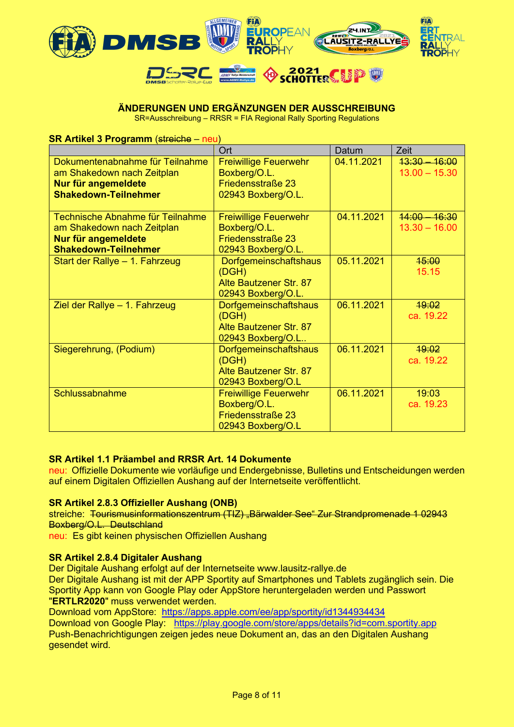

## **ÄNDERUNGEN UND ERGÄNZUNGEN DER AUSSCHREIBUNG**

SR=Ausschreibung – RRSR = FIA Regional Rally Sporting Regulations

**SR Artikel 3 Programm (streiche – neu)** 

|                                                                                                                      | Ort                                                                                     | Datum      | Zeit                               |
|----------------------------------------------------------------------------------------------------------------------|-----------------------------------------------------------------------------------------|------------|------------------------------------|
| Dokumentenabnahme für Teilnahme<br>am Shakedown nach Zeitplan<br>Nur für angemeldete<br><b>Shakedown-Teilnehmer</b>  | <b>Freiwillige Feuerwehr</b><br>Boxberg/O.L.<br>Friedensstraße 23<br>02943 Boxberg/O.L. | 04.11.2021 | $13:30 - 16:00$<br>$13.00 - 15.30$ |
| Technische Abnahme für Teilnahme<br>am Shakedown nach Zeitplan<br>Nur für angemeldete<br><b>Shakedown-Teilnehmer</b> | <b>Freiwillige Feuerwehr</b><br>Boxberg/O.L.<br>Friedensstraße 23<br>02943 Boxberg/O.L. | 04.11.2021 | $44:00 - 16:30$<br>$13.30 - 16.00$ |
| Start der Rallye - 1. Fahrzeug                                                                                       | Dorfgemeinschaftshaus<br>(DGH)<br>Alte Bautzener Str. 87<br>02943 Boxberg/O.L.          | 05.11.2021 | 15:00<br>15.15                     |
| Ziel der Rallye - 1. Fahrzeug                                                                                        | <b>Dorfgemeinschaftshaus</b><br>(DGH)<br>Alte Bautzener Str. 87<br>02943 Boxberg/O.L    | 06.11.2021 | 19:02<br>ca. 19.22                 |
| Siegerehrung, (Podium)                                                                                               | <b>Dorfgemeinschaftshaus</b><br>(DGH)<br>Alte Bautzener Str. 87<br>02943 Boxberg/O.L    | 06.11.2021 | 19:02<br>ca. 19.22                 |
| Schlussabnahme                                                                                                       | <b>Freiwillige Feuerwehr</b><br>Boxberg/O.L.<br>Friedensstraße 23<br>02943 Boxberg/O.L  | 06.11.2021 | 19:03<br>ca. 19.23                 |

## **SR Artikel 1.1 Präambel and RRSR Art. 14 Dokumente**

neu: Offizielle Dokumente wie vorläufige und Endergebnisse, Bulletins und Entscheidungen werden auf einem Digitalen Offiziellen Aushang auf der Internetseite veröffentlicht.

#### **SR Artikel 2.8.3 Offizieller Aushang (ONB)**

streiche: Tourismusinformationszentrum (TIZ) "Bärwalder See" Zur Strandpromenade 1 02943 Boxberg/O.L. Deutschland

neu: Es gibt keinen physischen Offiziellen Aushang

#### **SR Artikel 2.8.4 Digitaler Aushang**

Der Digitale Aushang erfolgt auf der Internetseite www.lausitz-rallye.de

Der Digitale Aushang ist mit der APP Sportity auf Smartphones und Tablets zugänglich sein. Die Sportity App kann von Google Play oder AppStore heruntergeladen werden und Passwort "**ERTLR2020**" muss verwendet werden.

Download vom AppStore: <https://apps.apple.com/ee/app/sportity/id1344934434>

Download von Google Play: <https://play.google.com/store/apps/details?id=com.sportity.app> Push-Benachrichtigungen zeigen jedes neue Dokument an, das an den Digitalen Aushang gesendet wird.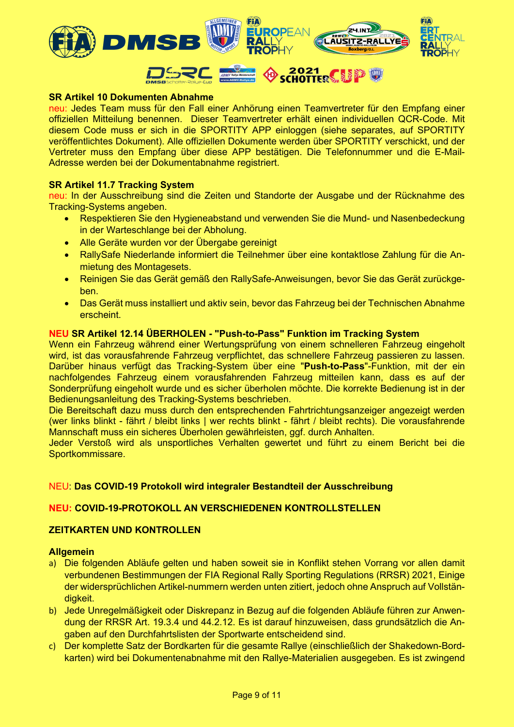

## **SR Artikel 10 Dokumenten Abnahme**

neu: Jedes Team muss für den Fall einer Anhörung einen Teamvertreter für den Empfang einer offiziellen Mitteilung benennen. Dieser Teamvertreter erhält einen individuellen QCR-Code. Mit diesem Code muss er sich in die SPORTITY APP einloggen (siehe separates, auf SPORTITY veröffentlichtes Dokument). Alle offiziellen Dokumente werden über SPORTITY verschickt, und der Vertreter muss den Empfang über diese APP bestätigen. Die Telefonnummer und die E-Mail-Adresse werden bei der Dokumentabnahme registriert.

#### **SR Artikel 11.7 Tracking System**

neu: In der Ausschreibung sind die Zeiten und Standorte der Ausgabe und der Rücknahme des Tracking-Systems angeben.

- Respektieren Sie den Hygieneabstand und verwenden Sie die Mund- und Nasenbedeckung in der Warteschlange bei der Abholung.
- Alle Geräte wurden vor der Übergabe gereinigt
- RallySafe Niederlande informiert die Teilnehmer über eine kontaktlose Zahlung für die Anmietung des Montagesets.
- Reinigen Sie das Gerät gemäß den RallySafe-Anweisungen, bevor Sie das Gerät zurückgeben.
- Das Gerät muss installiert und aktiv sein, bevor das Fahrzeug bei der Technischen Abnahme erscheint.

#### **NEU SR Artikel 12.14 ÜBERHOLEN - "Push-to-Pass" Funktion im Tracking System**

Wenn ein Fahrzeug während einer Wertungsprüfung von einem schnelleren Fahrzeug eingeholt wird, ist das vorausfahrende Fahrzeug verpflichtet, das schnellere Fahrzeug passieren zu lassen. Darüber hinaus verfügt das Tracking-System über eine "**Push-to-Pass**"-Funktion, mit der ein nachfolgendes Fahrzeug einem vorausfahrenden Fahrzeug mitteilen kann, dass es auf der Sonderprüfung eingeholt wurde und es sicher überholen möchte. Die korrekte Bedienung ist in der Bedienungsanleitung des Tracking-Systems beschrieben.

Die Bereitschaft dazu muss durch den entsprechenden Fahrtrichtungsanzeiger angezeigt werden (wer links blinkt - fährt / bleibt links | wer rechts blinkt - fährt / bleibt rechts). Die vorausfahrende Mannschaft muss ein sicheres Überholen gewährleisten, ggf. durch Anhalten.

Jeder Verstoß wird als unsportliches Verhalten gewertet und führt zu einem Bericht bei die Sportkommissare.

## NEU: **Das COVID-19 Protokoll wird integraler Bestandteil der Ausschreibung**

#### **NEU: COVID-19-PROTOKOLL AN VERSCHIEDENEN KONTROLLSTELLEN**

## **ZEITKARTEN UND KONTROLLEN**

#### **Allgemein**

- a) Die folgenden Abläufe gelten und haben soweit sie in Konflikt stehen Vorrang vor allen damit verbundenen Bestimmungen der FIA Regional Rally Sporting Regulations (RRSR) 2021, Einige der widersprüchlichen Artikel-nummern werden unten zitiert, jedoch ohne Anspruch auf Vollständigkeit.
- b) Jede Unregelmäßigkeit oder Diskrepanz in Bezug auf die folgenden Abläufe führen zur Anwendung der RRSR Art. 19.3.4 und 44.2.12. Es ist darauf hinzuweisen, dass grundsätzlich die Angaben auf den Durchfahrtslisten der Sportwarte entscheidend sind.
- c) Der komplette Satz der Bordkarten für die gesamte Rallye (einschließlich der Shakedown-Bordkarten) wird bei Dokumentenabnahme mit den Rallye-Materialien ausgegeben. Es ist zwingend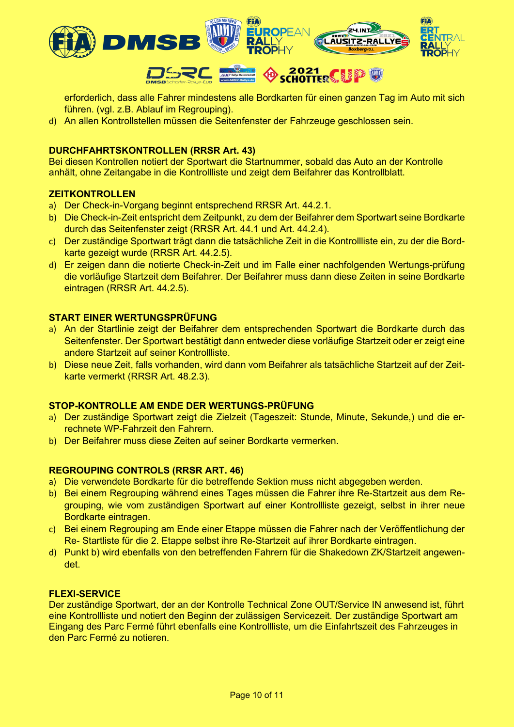

erforderlich, dass alle Fahrer mindestens alle Bordkarten für einen ganzen Tag im Auto mit sich führen. (vgl. z.B. Ablauf im Regrouping).

d) An allen Kontrollstellen müssen die Seitenfenster der Fahrzeuge geschlossen sein.

## **DURCHFAHRTSKONTROLLEN (RRSR Art. 43)**

Bei diesen Kontrollen notiert der Sportwart die Startnummer, sobald das Auto an der Kontrolle anhält, ohne Zeitangabe in die Kontrollliste und zeigt dem Beifahrer das Kontrollblatt.

#### **ZEITKONTROLLEN**

- a) Der Check-in-Vorgang beginnt entsprechend RRSR Art. 44.2.1.
- b) Die Check-in-Zeit entspricht dem Zeitpunkt, zu dem der Beifahrer dem Sportwart seine Bordkarte durch das Seitenfenster zeigt (RRSR Art. 44.1 und Art. 44.2.4).
- c) Der zuständige Sportwart trägt dann die tatsächliche Zeit in die Kontrollliste ein, zu der die Bordkarte gezeigt wurde (RRSR Art. 44.2.5).
- d) Er zeigen dann die notierte Check-in-Zeit und im Falle einer nachfolgenden Wertungs-prüfung die vorläufige Startzeit dem Beifahrer. Der Beifahrer muss dann diese Zeiten in seine Bordkarte eintragen (RRSR Art. 44.2.5).

## **START EINER WERTUNGSPRÜFUNG**

- a) An der Startlinie zeigt der Beifahrer dem entsprechenden Sportwart die Bordkarte durch das Seitenfenster. Der Sportwart bestätigt dann entweder diese vorläufige Startzeit oder er zeigt eine andere Startzeit auf seiner Kontrollliste.
- b) Diese neue Zeit, falls vorhanden, wird dann vom Beifahrer als tatsächliche Startzeit auf der Zeitkarte vermerkt (RRSR Art. 48.2.3).

#### **STOP-KONTROLLE AM ENDE DER WERTUNGS-PRÜFUNG**

- a) Der zuständige Sportwart zeigt die Zielzeit (Tageszeit: Stunde, Minute, Sekunde,) und die errechnete WP-Fahrzeit den Fahrern.
- b) Der Beifahrer muss diese Zeiten auf seiner Bordkarte vermerken.

#### **REGROUPING CONTROLS (RRSR ART. 46)**

- a) Die verwendete Bordkarte für die betreffende Sektion muss nicht abgegeben werden.
- b) Bei einem Regrouping während eines Tages müssen die Fahrer ihre Re-Startzeit aus dem Regrouping, wie vom zuständigen Sportwart auf einer Kontrollliste gezeigt, selbst in ihrer neue Bordkarte eintragen.
- c) Bei einem Regrouping am Ende einer Etappe müssen die Fahrer nach der Veröffentlichung der Re- Startliste für die 2. Etappe selbst ihre Re-Startzeit auf ihrer Bordkarte eintragen.
- d) Punkt b) wird ebenfalls von den betreffenden Fahrern für die Shakedown ZK/Startzeit angewendet.

#### **FLEXI-SERVICE**

Der zuständige Sportwart, der an der Kontrolle Technical Zone OUT/Service IN anwesend ist, führt eine Kontrollliste und notiert den Beginn der zulässigen Servicezeit. Der zuständige Sportwart am Eingang des Parc Fermé führt ebenfalls eine Kontrollliste, um die Einfahrtszeit des Fahrzeuges in den Parc Fermé zu notieren.